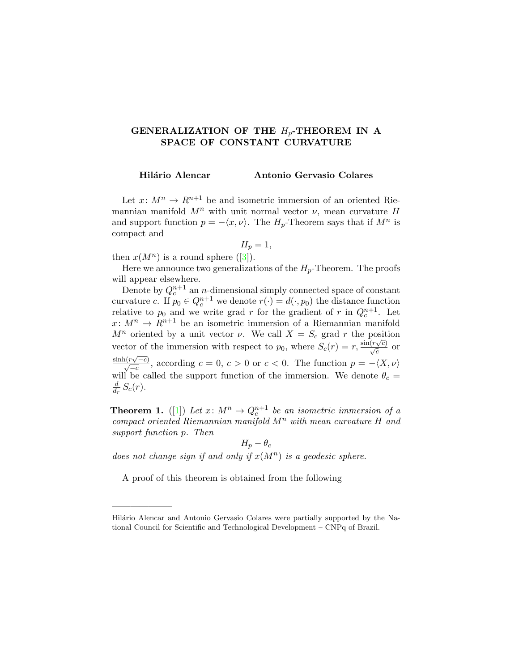## GENERALIZATION OF THE  $H_p$ -THEOREM IN A SPACE OF CONSTANT CURVATURE

Hilário Alencar Antonio Gervasio Colares

Let  $x: M^n \to R^{n+1}$  be and isometric immersion of an oriented Riemannian manifold  $M^n$  with unit normal vector  $\nu$ , mean curvature H and support function  $p = -\langle x, \nu \rangle$ . The  $H_p$ -Theorem says that if  $M^n$  is compact and

$$
H_p=1,
$$

then  $x(M^n)$  is a round sphere ([\[3\]](#page-1-0)).

——————–

Here we announce two generalizations of the  $H_p$ -Theorem. The proofs will appear elsewhere.

Denote by  $Q_c^{n+1}$  an *n*-dimensional simply connected space of constant curvature c. If  $p_0 \in Q_c^{n+1}$  we denote  $r(\cdot) = d(\cdot, p_0)$  the distance function relative to  $p_0$  and we write grad r for the gradient of r in  $Q_c^{n+1}$ . Let  $x: M^n \to R^{n+1}$  be an isometric immersion of a Riemannian manifold  $M^n$  oriented by a unit vector  $\nu$ . We call  $X = S_c$  grad r the position vector of the immersion with respect to  $p_0$ , where  $S_c(r) = r$ ,  $\frac{\sin(r\sqrt{c})}{\sqrt{c}}$  or  $\frac{\sinh(r\sqrt{-c})}{\sqrt{-c}}$ , according  $c = 0, c > 0$  or  $c < 0$ . The function  $p = -\langle X, \nu \rangle$ will be called the support function of the immersion. We denote  $\theta_c =$ d  $\frac{d}{dr}S_c(r)$ .

**Theorem 1.** ([\[1\]](#page-1-1)) Let  $x \colon M^n \to Q_c^{n+1}$  be an isometric immersion of a compact oriented Riemannian manifold  $M^n$  with mean curvature  $H$  and support function p. Then

$$
H_p - \theta_c
$$

does not change sign if and only if  $x(M^n)$  is a geodesic sphere.

A proof of this theorem is obtained from the following

Hilário Alencar and Antonio Gervasio Colares were partially supported by the National Council for Scientific and Technological Development – CNPq of Brazil.